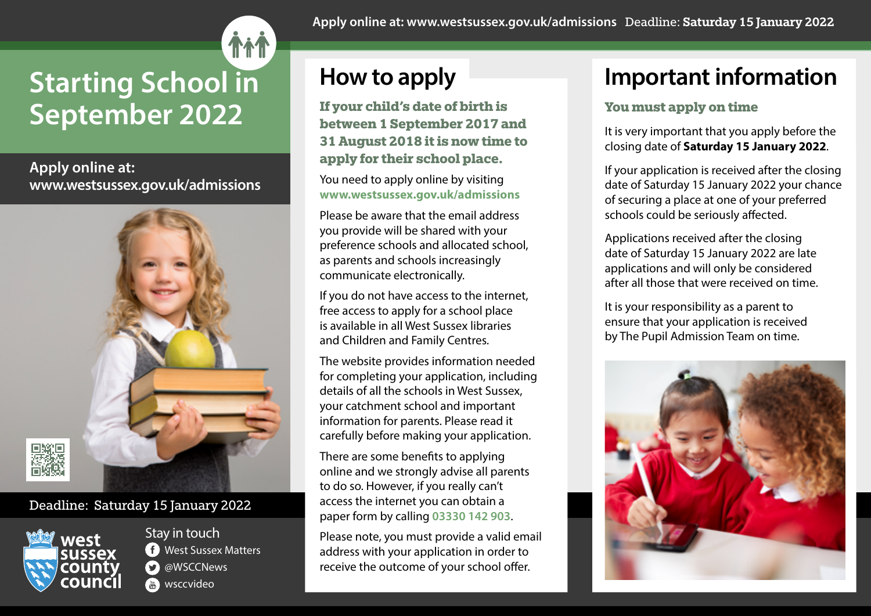# **Starting School in September 2022**

**Apply online at: www.westsussex.gov.uk/admissions**



### Deadline: Saturday 15 January 2022



Stay in touch **C** West Sussex Matters **C** @WSCCNews **wsccvideo** 

**Apply online at: www.westsussex.gov.uk/admissions** Deadline: Saturday 15 January 2022

# **How to apply**

**If your child's date of birth is between 1 September 2017 and 31 August 2018 it is now time to apply for their school place.**

You need to apply online by visiting **www.westsussex.gov.uk/admissions**

Please be aware that the email address you provide will be shared with your preference schools and allocated school, as parents and schools increasingly communicate electronically.

If you do not have access to the internet, free access to apply for a school place is available in all West Sussex libraries and Children and Family Centres.

The website provides information needed for completing your application, including details of all the schools in West Sussex, your catchment school and important information for parents. Please read it carefully before making your application.

There are some benefits to applying online and we strongly advise all parents to do so. However, if you really can't access the internet you can obtain a paper form by calling **03330 142 903**.

Please note, you must provide a valid email address with your application in order to receive the outcome of your school offer.

## **Important information**

### **You must apply on time**

It is very important that you apply before the closing date of **Saturday 15 January 2022**.

If your application is received after the closing date of Saturday 15 January 2022 your chance of securing a place at one of your preferred schools could be seriously affected.

Applications received after the closing date of Saturday 15 January 2022 are late applications and will only be considered after all those that were received on time.

It is your responsibility as a parent to ensure that your application is received by The Pupil Admission Team on time.